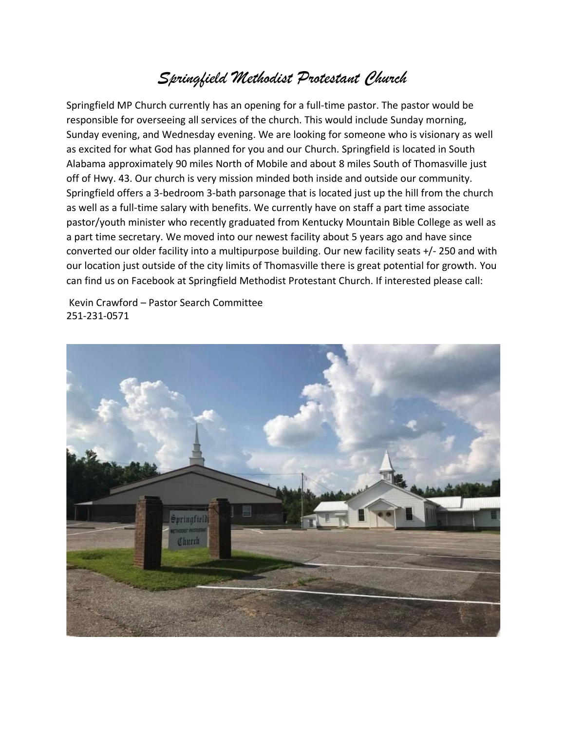## *Springfield Methodist Protestant Church*

Springfield MP Church currently has an opening for a full-time pastor. The pastor would be responsible for overseeing all services of the church. This would include Sunday morning, Sunday evening, and Wednesday evening. We are looking for someone who is visionary as well as excited for what God has planned for you and our Church. Springfield is located in South Alabama approximately 90 miles North of Mobile and about 8 miles South of Thomasville just off of Hwy. 43. Our church is very mission minded both inside and outside our community. Springfield offers a 3-bedroom 3-bath parsonage that is located just up the hill from the church as well as a full-time salary with benefits. We currently have on staff a part time associate pastor/youth minister who recently graduated from Kentucky Mountain Bible College as well as a part time secretary. We moved into our newest facility about 5 years ago and have since converted our older facility into a multipurpose building. Our new facility seats +/- 250 and with our location just outside of the city limits of Thomasville there is great potential for growth. You can find us on Facebook at Springfield Methodist Protestant Church. If interested please call:

Kevin Crawford – Pastor Search Committee 251-231-0571

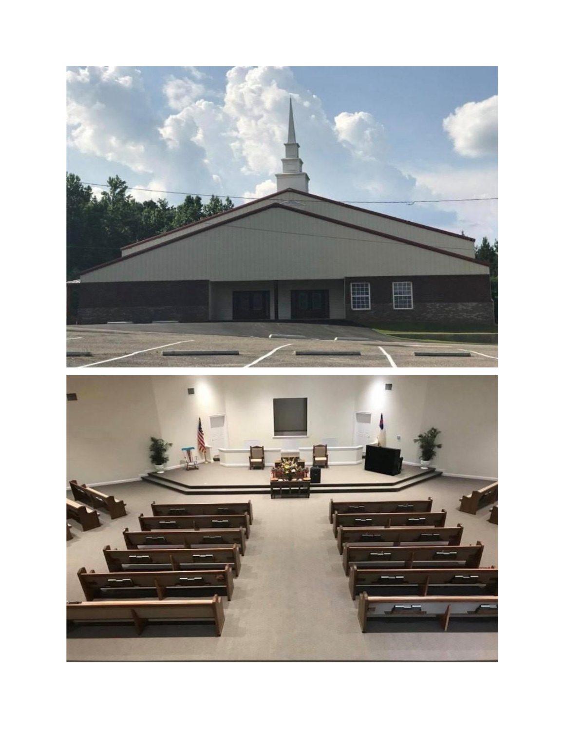